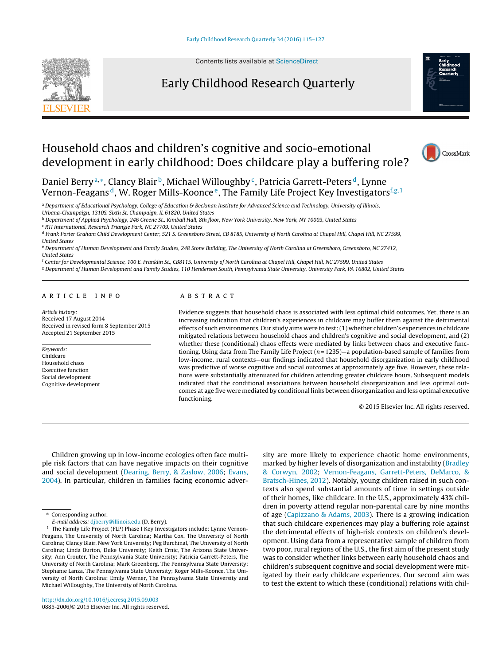

Contents lists available at [ScienceDirect](http://www.sciencedirect.com/science/journal/08852006)

### Early Childhood Research Quarterly



CrossMark

## Household chaos and children's cognitive and socio-emotional development in early childhood: Does childcare play a buffering role?

Daniel Berry<sup>a,∗</sup>, Clancy Blair<sup>b</sup>, Michael Willoughby<sup>c</sup>, Patricia Garrett-Peters<sup>d</sup>, Lynne Vernon-Feagans<sup>d</sup>, W. Roger Mills-Koonce<sup>e</sup>, The Family Life Project Key Investigators<sup>f,g,1</sup>

a Department of Educational Psychology, College of Education & Beckman Institute for Advanced Science and Technology, University of Illinois, Urbana-Champaign, 1310S. Sixth St. Champaign, IL 61820, United States

**b Department of Applied Psychology, 246 Greene St., Kimball Hall, 8th floor, New York University, New York, NY 10003, United States** 

<sup>c</sup> RTI International, Research Triangle Park, NC 27709, United States

<sup>d</sup> Frank Porter Graham Child Development Center, 521 S. Greensboro Street, CB 8185, University of North Carolina at Chapel Hill, Chapel Hill, NC 27599, United States

e Department of Human Development and Family Studies, 248 Stone Building, The University of North Carolina at Greensboro, Greensboro, NC 27412, United States

<sup>f</sup> Center for Developmental Science, 100 E. Franklin St., CB8115, University of North Carolina at Chapel Hill, Chapel Hill, NC 27599, United States

<sup>g</sup> Department of Human Development and Family Studies, 110 Henderson South, Pennsylvania State University, University Park, PA 16802, United States

#### ARTICLE INFO

Article history: Received 17 August 2014 Received in revised form 8 September 2015 Accepted 21 September 2015

Keywords: Childcare Household chaos Executive function Social development Cognitive development

#### A B S T R A C T

Evidence suggests that household chaos is associated with less optimal child outcomes. Yet, there is an increasing indication that children's experiences in childcare may buffer them against the detrimental effects of such environments. Our study aims were to test:(1) whether children's experiences in childcare mitigated relations between household chaos and children's cognitive and social development, and (2) whether these (conditional) chaos effects were mediated by links between chaos and executive functioning. Using data from The Family Life Project  $(n = 1235)$ —a population-based sample of families from low-income, rural contexts—our findings indicated that household disorganization in early childhood was predictive of worse cognitive and social outcomes at approximately age five. However, these relations were substantially attenuated for children attending greater childcare hours. Subsequent models indicated that the conditional associations between household disorganization and less optimal outcomes at age five were mediated by conditional links between disorganization and less optimal executive functioning.

© 2015 Elsevier Inc. All rights reserved.

Children growing up in low-income ecologies often face multiple risk factors that can have negative impacts on their cognitive and social development [\(Dearing,](#page--1-0) [Berry,](#page--1-0) [&](#page--1-0) [Zaslow,](#page--1-0) [2006;](#page--1-0) [Evans,](#page--1-0) [2004\).](#page--1-0) In particular, children in families facing economic adver-

∗ Corresponding author.

E-mail address: [djberry@illinois.edu](mailto:djberry@illinois.edu) (D. Berry).

The Family Life Project (FLP) Phase I Key Investigators include: Lynne Vernon-Feagans, The University of North Carolina; Martha Cox, The University of North Carolina; Clancy Blair, New York University; Peg Burchinal, The University of North Carolina; Linda Burton, Duke University; Keith Crnic, The Arizona State University; Ann Crouter, The Pennsylvania State University; Patricia Garrett-Peters, The University of North Carolina; Mark Greenberg, The Pennsylvania State University; Stephanie Lanza, The Pennsylvania State University; Roger Mills-Koonce, The University of North Carolina; Emily Werner, The Pennsylvania State University and Michael Willoughby, The University of North Carolina.

[http://dx.doi.org/10.1016/j.ecresq.2015.09.003](dx.doi.org/10.1016/j.ecresq.2015.09.003) 0885-2006/© 2015 Elsevier Inc. All rights reserved. sity are more likely to experience chaotic home environments, marked by higher levels of disorganization and instability ([Bradley](#page--1-0) [&](#page--1-0) [Corwyn,](#page--1-0) [2002;](#page--1-0) [Vernon-Feagans,](#page--1-0) [Garrett-Peters,](#page--1-0) [DeMarco,](#page--1-0) [&](#page--1-0) [Bratsch-Hines,](#page--1-0) [2012\).](#page--1-0) Notably, young children raised in such contexts also spend substantial amounts of time in settings outside of their homes, like childcare. In the U.S., approximately 43% children in poverty attend regular non-parental care by nine months of age ([Capizzano](#page--1-0) [&](#page--1-0) [Adams,](#page--1-0) [2003\).](#page--1-0) There is a growing indication that such childcare experiences may play a buffering role against the detrimental effects of high-risk contexts on children's development. Using data from a representative sample of children from two poor, rural regions of the U.S., the first aim of the present study was to consider whether links between early household chaos and children's subsequent cognitive and social development were mitigated by their early childcare experiences. Our second aim was to test the extent to which these (conditional) relations with chil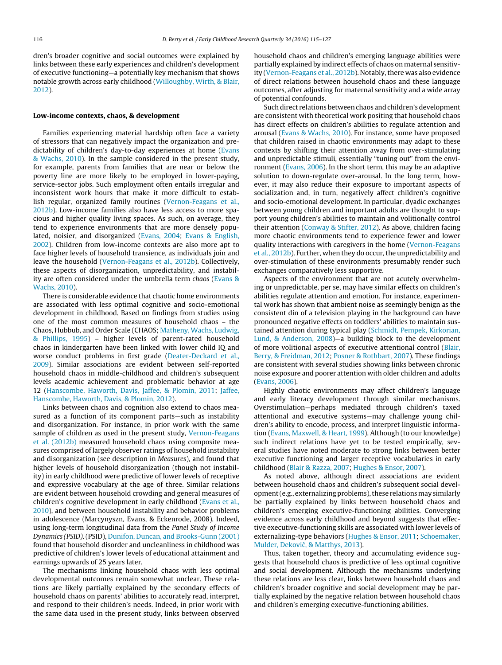dren's broader cognitive and social outcomes were explained by links between these early experiences and children's development of executive functioning—a potentially key mechanism that shows notable growth across early childhood ([Willoughby,](#page--1-0) [Wirth,](#page--1-0) [&](#page--1-0) [Blair,](#page--1-0) [2012\).](#page--1-0)

#### **Low-income contexts, chaos, & development**

Families experiencing material hardship often face a variety of stressors that can negatively impact the organization and predictability of children's day-to-day experiences at home [\(Evans](#page--1-0) [&](#page--1-0) [Wachs,](#page--1-0) [2010\).](#page--1-0) In the sample considered in the present study, for example, parents from families that are near or below the poverty line are more likely to be employed in lower-paying, service-sector jobs. Such employment often entails irregular and inconsistent work hours that make it more difficult to establish regular, organized family routines [\(Vernon-Feagans](#page--1-0) et [al.,](#page--1-0) [2012b\).](#page--1-0) Low-income families also have less access to more spacious and higher quality living spaces. As such, on average, they tend to experience environments that are more densely populated, noisier, and disorganized [\(Evans,](#page--1-0) [2004;](#page--1-0) [Evans](#page--1-0) [&](#page--1-0) [English,](#page--1-0) [2002\).](#page--1-0) Children from low-income contexts are also more apt to face higher levels of household transience, as individuals join and leave the household [\(Vernon-Feagans](#page--1-0) et [al.,](#page--1-0) [2012b\).](#page--1-0) Collectively, these aspects of disorganization, unpredictability, and instability are often considered under the umbrella term chaos ([Evans](#page--1-0) [&](#page--1-0) [Wachs,](#page--1-0) [2010\).](#page--1-0)

There is considerable evidence that chaotic home environments are associated with less optimal cognitive and socio-emotional development in childhood. Based on findings from studies using one of the most common measures of household chaos – the Chaos, Hubbub, and Order Scale (CHAOS; [Matheny,](#page--1-0) [Wachs,](#page--1-0) [Ludwig,](#page--1-0) [&](#page--1-0) [Phillips,](#page--1-0) [1995\)](#page--1-0) – higher levels of parent-rated household chaos in kindergarten have been linked with lower child IQ and worse conduct problems in first grade [\(Deater-Deckard](#page--1-0) et [al.,](#page--1-0) [2009\).](#page--1-0) Similar associations are evident between self-reported household chaos in middle-childhood and children's subsequent levels academic achievement and problematic behavior at age 12 [\(Hanscombe,](#page--1-0) [Haworth,](#page--1-0) [Davis,](#page--1-0) [Jaffee,](#page--1-0) [&](#page--1-0) [Plomin,](#page--1-0) [2011;](#page--1-0) [Jaffee,](#page--1-0) [Hanscombe,](#page--1-0) [Haworth,](#page--1-0) [Davis,](#page--1-0) [&](#page--1-0) [Plomin,](#page--1-0) [2012\).](#page--1-0)

Links between chaos and cognition also extend to chaos measured as a function of its component parts—such as instability and disorganization. For instance, in prior work with the same sample of children as used in the present study, [Vernon-Feagans](#page--1-0) et [al.](#page--1-0) [\(2012b\)](#page--1-0) measured household chaos using composite measures comprised of largely observer ratings of household instability and disorganization (see description in Measures), and found that higher levels of household disorganization (though not instability) in early childhood were predictive of lower levels of receptive and expressive vocabulary at the age of three. Similar relations are evident between household crowding and general measures of children's cognitive development in early childhood [\(Evans](#page--1-0) et [al.,](#page--1-0) [2010\),](#page--1-0) and between household instability and behavior problems in adolescence (Marcynyszn, Evans, & Eckenrode, 2008). Indeed, using long-term longitudinal data from the Panel Study of Income Dynamics (PSID), (PSID), [Dunifon,](#page--1-0) [Duncan,](#page--1-0) [and](#page--1-0) [Brooks-Gunn](#page--1-0) [\(2001\)](#page--1-0) found that household disorder and uncleanliness in childhood was predictive of children's lower levels of educational attainment and earnings upwards of 25 years later.

The mechanisms linking household chaos with less optimal developmental outcomes remain somewhat unclear. These relations are likely partially explained by the secondary effects of household chaos on parents' abilities to accurately read, interpret, and respond to their children's needs. Indeed, in prior work with the same data used in the present study, links between observed

household chaos and children's emerging language abilities were partially explained by indirect effects of chaos on maternal sensitiv-ity [\(Vernon-Feagans](#page--1-0) et [al.,](#page--1-0) [2012b\).](#page--1-0) Notably, there was also evidence of direct relations between household chaos and these language outcomes, after adjusting for maternal sensitivity and a wide array of potential confounds.

Such direct relations between chaos and children's development are consistent with theoretical work positing that household chaos has direct effects on children's abilities to regulate attention and arousal ([Evans](#page--1-0) [&](#page--1-0) [Wachs,](#page--1-0) [2010\).](#page--1-0) For instance, some have proposed that children raised in chaotic environments may adapt to these contexts by shifting their attention away from over-stimulating and unpredictable stimuli, essentially "tuning out" from the environment ([Evans,](#page--1-0) [2006\).](#page--1-0) In the short term, this may be an adaptive solution to down-regulate over-arousal. In the long term, however, it may also reduce their exposure to important aspects of socialization and, in turn, negatively affect children's cognitive and socio-emotional development. In particular, dyadic exchanges between young children and important adults are thought to support young children's abilities to maintain and volitionally control their attention ([Conway](#page--1-0) [&](#page--1-0) [Stifter,](#page--1-0) [2012\).](#page--1-0) As above, children facing more chaotic environments tend to experience fewer and lower quality interactions with caregivers in the home [\(Vernon-Feagans](#page--1-0) et [al.,](#page--1-0) [2012b\).](#page--1-0) Further, when they do occur, the unpredictability and over-stimulation of these environments presumably render such exchanges comparatively less supportive.

Aspects of the environment that are not acutely overwhelming or unpredictable, per se, may have similar effects on children's abilities regulate attention and emotion. For instance, experimental work has shown that ambient noise as seemingly benign as the consistent din of a television playing in the background can have pronounced negative effects on toddlers' abilities to maintain sustained attention during typical play [\(Schmidt,](#page--1-0) [Pempek,](#page--1-0) [Kirkorian,](#page--1-0) [Lund,](#page--1-0) [&](#page--1-0) [Anderson,](#page--1-0) [2008\)—](#page--1-0)a building block to the development of more volitional aspects of executive attentional control [\(Blair,](#page--1-0) [Berry,](#page--1-0) [&](#page--1-0) [Freidman,](#page--1-0) [2012;](#page--1-0) [Posner](#page--1-0) [&](#page--1-0) [Rothbart,](#page--1-0) [2007\).](#page--1-0) These findings are consistent with several studies showing links between chronic noise exposure and poorer attention with older children and adults [\(Evans,](#page--1-0) [2006\).](#page--1-0)

Highly chaotic environments may affect children's language and early literacy development through similar mechanisms. Overstimulation—perhaps mediated through children's taxed attentional and executive systems—may challenge young children's ability to encode, process, and interpret linguistic information ([Evans,](#page--1-0) [Maxwell,](#page--1-0) [&](#page--1-0) [Heart,](#page--1-0) [1999\).](#page--1-0) Although (to our knowledge) such indirect relations have yet to be tested empirically, several studies have noted moderate to strong links between better executive functioning and larger receptive vocabularies in early childhood ([Blair](#page--1-0) [&](#page--1-0) [Razza,](#page--1-0) [2007;](#page--1-0) [Hughes](#page--1-0) [&](#page--1-0) [Ensor,](#page--1-0) [2007\).](#page--1-0)

As noted above, although direct associations are evident between household chaos and children's subsequent social devel $opment(e.g., externalizing problems)$ , these relations may similarly be partially explained by links between household chaos and children's emerging executive-functioning abilities. Converging evidence across early childhood and beyond suggests that effective executive-functioning skills are associated with lower levels of externalizing-type behaviors [\(Hughes](#page--1-0) [&](#page--1-0) [Ensor,](#page--1-0) [2011;](#page--1-0) [Schoemaker,](#page--1-0) [Mulder,](#page--1-0) Deković, [&](#page--1-0) [Matthys,](#page--1-0) [2013\).](#page--1-0)

Thus, taken together, theory and accumulating evidence suggests that household chaos is predictive of less optimal cognitive and social development. Although the mechanisms underlying these relations are less clear, links between household chaos and children's broader cognitive and social development may be partially explained by the negative relation between household chaos and children's emerging executive-functioning abilities.